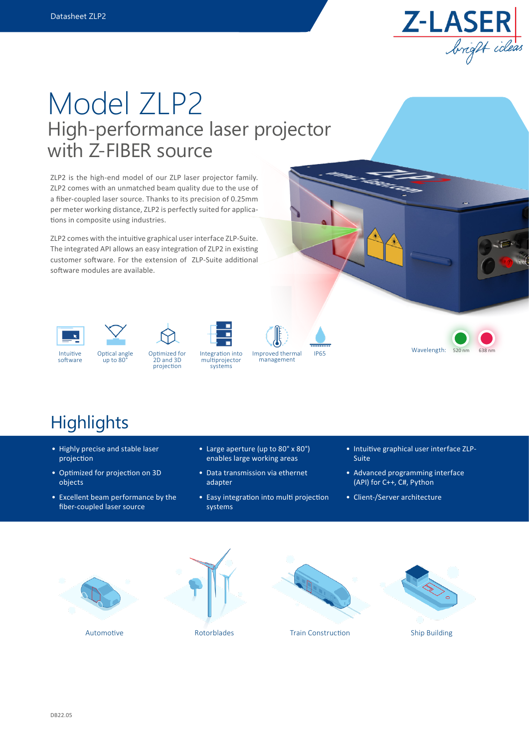

# High-performance laser projector with Z-FIBER source Model ZLP2

ZLP2 is the high-end model of our ZLP laser projector family. ZLP2 comes with an unmatched beam quality due to the use of a fiber-coupled laser source. Thanks to its precision of 0.25mm per meter working distance, ZLP2 is perfectly suited for applications in composite using industries.

ZLP2 comes with the intuitive graphical user interface ZLP-Suite. The integrated API allows an easy integration of ZLP2 in existing customer software. For the extension of ZLP-Suite additional software modules are available.



software





up to 80°





multiprojector systems

Integration into Improved thermal IP65 management



## **Highlights**

- Highly precise and stable laser projection
- Optimized for projection on 3D objects
- Excellent beam performance by the fiber-coupled laser source
- Large aperture (up to 80° x 80°) enables large working areas
- Data transmission via ethernet adapter
- Easy integration into multi projection systems
- Intuitive graphical user interface ZLP-Suite
- Advanced programming interface (API) for C++, C#, Python
- Client-/Server architecture